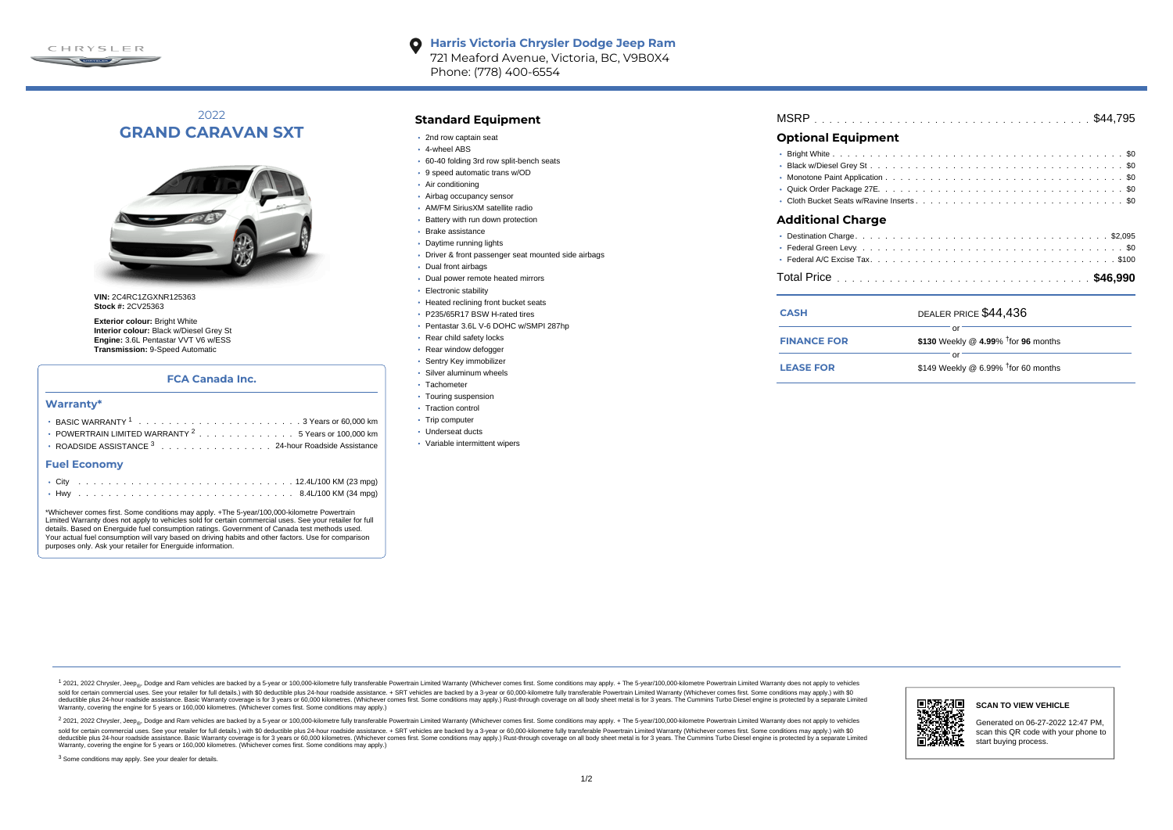

#### **Harris Victoria Chrysler Dodge Jeep Ram**  $\bullet$ 721 Meaford Avenue, Victoria, BC, V9B0X4 Phone: (778) 400-6554

# 2022 **GRAND CARAVAN SXT**



**VIN:** 2C4RC1ZGXNR125363 **Stock #:** 2CV25363

**Exterior colour:** Bright White **Interior colour:** Black w/Diesel Grey St **Engine:** 3.6L Pentastar VVT V6 w/ESS **Transmission:** 9-Speed Automatic

## **FCA Canada Inc.**

### **Warranty\***

| • POWERTRAIN LIMITED WARRANTY $2 \ldots \ldots \ldots \ldots \ldots \ldots 5$ Years or 100,000 km |
|---------------------------------------------------------------------------------------------------|
| • ROADSIDE ASSISTANCE 3 24-hour Roadside Assistance                                               |

#### **Fuel Economy**

\*Whichever comes first. Some conditions may apply. +The 5-year/100,000-kilometre Powertrain Limited Warranty does not apply to vehicles sold for certain commercial uses. See your retailer for full details. Based on Energuide fuel consumption ratings. Government of Canada test methods used. Your actual fuel consumption will vary based on driving habits and other factors. Use for comparison purposes only. Ask your retailer for Energuide information.

## **Standard Equipment**

- 2nd row captain seat
- 4-wheel ABS
- 60-40 folding 3rd row split-bench seats
- 9 speed automatic trans w/OD
- Air conditioning
- Airbag occupancy sensor
- AM/FM SiriusXM satellite radio
- Battery with run down protection
- Brake assistance
- Daytime running lights
- Driver & front passenger seat mounted side airbags
- Dual front airbags
- Dual power remote heated mirrors
- Electronic stability
- Heated reclining front bucket seats
- P235/65R17 BSW H-rated tires
- Pentastar 3.6L V-6 DOHC w/SMPI 287hp
- Rear child safety locks
- Rear window defogger
- Sentry Key immobilizer
- Silver aluminum wheels
- · Tachometer
- Touring suspension
- Traction control
- Trip computer
- Underseat ducts
- Variable intermittent wipers

| <b>Optional Equipment</b> |  |  |
|---------------------------|--|--|
|                           |  |  |

### **Additional Charge**

| <b>CASH</b>        | DEALER PRICE \$44,436                  |
|--------------------|----------------------------------------|
|                    |                                        |
| <b>FINANCE FOR</b> | \$130 Weekly @ 4.99% $†$ for 96 months |
|                    |                                        |
| <b>LEASE FOR</b>   | \$149 Weekly @ 6.99% $†$ for 60 months |

1 2021, 2022 Chrysler, Jeep.... Dodge and Ram vehicles are backed by a 5-year or 100,000-kilometre fully transferable Powertrain Limited Warranty (Whichever comes first. Some conditions may apply. + The 5-year/100,000-kilo sold for certain commercial uses. See your retailer for full details) with \$0 deductible plus 24-hour madside assistance. + SRT vehicles are backed by a 3-year or 60.000-kilometre fully transferable Powertrain Limited Warr detuctible plus 24-hour roadside assistance. Basic Warranty coverage is for 3 years or 60,000 kilometres. Whichever comes first. Some conditions may apply.) Rust-through coverage on all body sheet metals for 3 years. The C Warranty, covering the engine for 5 years or 160,000 kilometres. (Whichever comes first. Some conditions may apply.)

<sup>2</sup> 2021, 2022 Chrysler, Jeep<sub>®</sub>, Dodge and Ram vehicles are backed by a 5-year or 100,000-kilometre fully transferable Powertrain Limited Warranty (Whichever comes first. Some conditions may apply. + The 5-year/100,000-ki sold for certain commercial uses. See your retailer for full details.) with \$0 deductible plus 24-hour roadside assistance. + SRT vehicles are backed by a 3-year or 60.000-kilometre fully transferable Powertrain Limited Wa deductible plus 24-hour roadside assistance. Basic Warranty coverage is for 3 years or 60,000 kilometres. (Whichever comes first. Some conditions may apply.) Rust-through coverage on all body sheet metal is for 3 years. Th



### **SCAN TO VIEW VEHICLE**

Generated on 06-27-2022 12:47 PM, scan this QR code with your phone to start buying process.

<sup>3</sup> Some conditions may apply. See your dealer for details.